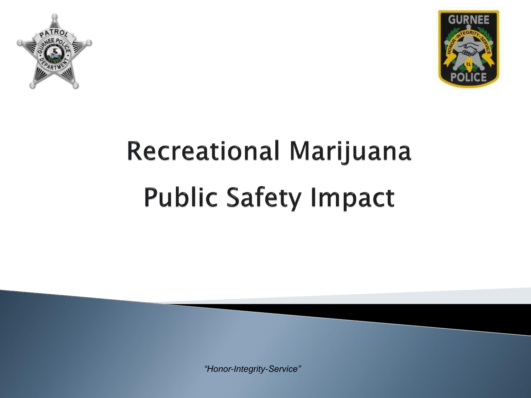



# **Recreational Marijuana Public Safety Impact**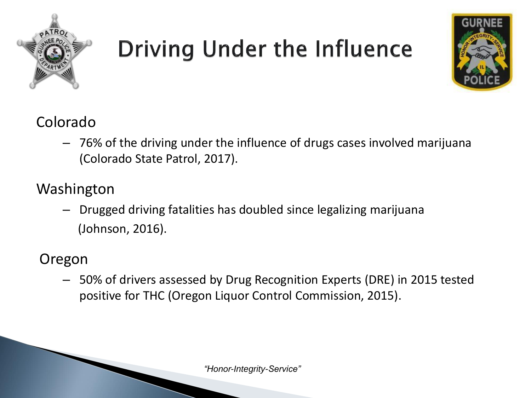

### **Driving Under the Influence**



#### Colorado

– 76% of the driving under the influence of drugs cases involved marijuana (Colorado State Patrol, 2017).

#### Washington

– Drugged driving fatalities has doubled since legalizing marijuana (Johnson, 2016).

#### Oregon

– 50% of drivers assessed by Drug Recognition Experts (DRE) in 2015 tested positive for THC (Oregon Liquor Control Commission, 2015).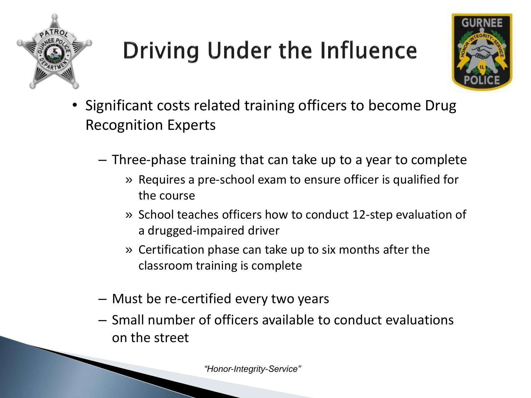

## **Driving Under the Influence**



- Significant costs related training officers to become Drug Recognition Experts
	- Three-phase training that can take up to a year to complete
		- » Requires a pre-school exam to ensure officer is qualified for the course
		- » School teaches officers how to conduct 12-step evaluation of a drugged-impaired driver
		- » Certification phase can take up to six months after the classroom training is complete
	- Must be re-certified every two years
	- Small number of officers available to conduct evaluations on the street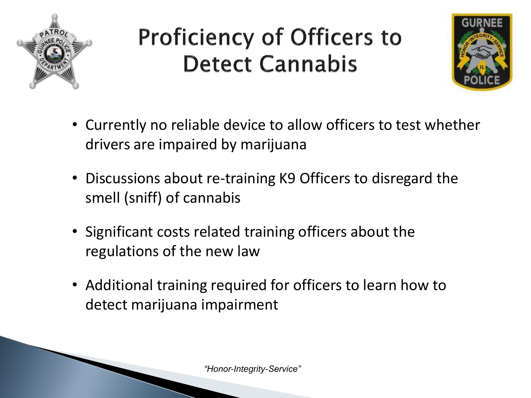

### **Proficiency of Officers to Detect Cannabis**



- Currently no reliable device to allow officers to test whether drivers are impaired by marijuana
- Discussions about re-training K9 Officers to disregard the smell (sniff) of cannabis
- Significant costs related training officers about the regulations of the new law
- Additional training required for officers to learn how to detect marijuana impairment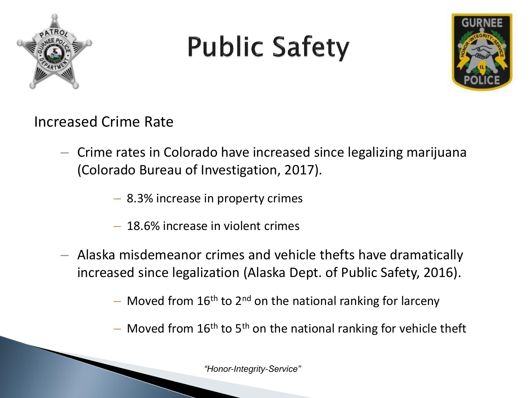

## **Public Safety**



Increased Crime Rate

- Crime rates in Colorado have increased since legalizing marijuana (Colorado Bureau of Investigation, 2017).
	- 8.3% increase in property crimes
	- 18.6% increase in violent crimes
- Alaska misdemeanor crimes and vehicle thefts have dramatically increased since legalization (Alaska Dept. of Public Safety, 2016).
	- $-$  Moved from 16<sup>th</sup> to 2<sup>nd</sup> on the national ranking for larceny
	- Moved from  $16<sup>th</sup>$  to  $5<sup>th</sup>$  on the national ranking for vehicle theft